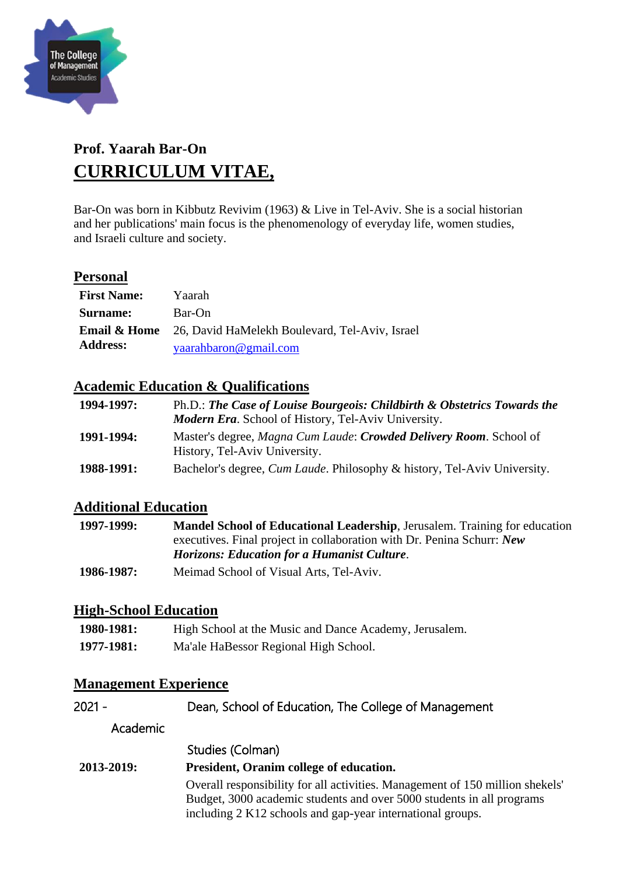

# **Prof. Yaarah Bar-On CURRICULUM VITAE,**

Bar-On was born in Kibbutz Revivim (1963) & Live in Tel-Aviv. She is a social historian and her publications' main focus is the phenomenology of everyday life, women studies, and Israeli culture and society.

### **Personal**

| <b>First Name:</b> | Yaarah                                                                 |
|--------------------|------------------------------------------------------------------------|
| Surname:           | Bar-On                                                                 |
|                    | <b>Email &amp; Home</b> 26, David HaMelekh Boulevard, Tel-Aviv, Israel |
| <b>Address:</b>    | yaarahbaron@gmail.com                                                  |

### **Academic Education & Qualifications**

| 1994-1997: | Ph.D.: The Case of Louise Bourgeois: Childbirth & Obstetrics Towards the<br><b>Modern Era.</b> School of History, Tel-Aviv University. |
|------------|----------------------------------------------------------------------------------------------------------------------------------------|
| 1991-1994: | Master's degree, Magna Cum Laude: Crowded Delivery Room. School of<br>History, Tel-Aviv University.                                    |
| 1988-1991: | Bachelor's degree, <i>Cum Laude</i> . Philosophy & history, Tel-Aviv University.                                                       |

### **Additional Education**

| 1997-1999: | <b>Mandel School of Educational Leadership, Jerusalem. Training for education</b> |
|------------|-----------------------------------------------------------------------------------|
|            | executives. Final project in collaboration with Dr. Penina Schurr: New            |
|            | <b>Horizons: Education for a Humanist Culture.</b>                                |
| 1986-1987: | Meimad School of Visual Arts, Tel-Aviv.                                           |

#### **High-School Education**

| 1980-1981: | High School at the Music and Dance Academy, Jerusalem. |
|------------|--------------------------------------------------------|
| 1977-1981: | Ma'ale HaBessor Regional High School.                  |

### **Management Experience**

| 2021 -     | Dean, School of Education, The College of Management                                                                                                                                                                 |
|------------|----------------------------------------------------------------------------------------------------------------------------------------------------------------------------------------------------------------------|
| Academic   |                                                                                                                                                                                                                      |
|            | Studies (Colman)                                                                                                                                                                                                     |
| 2013-2019: | President, Oranim college of education.                                                                                                                                                                              |
|            | Overall responsibility for all activities. Management of 150 million shekels'<br>Budget, 3000 academic students and over 5000 students in all programs<br>including 2 K12 schools and gap-year international groups. |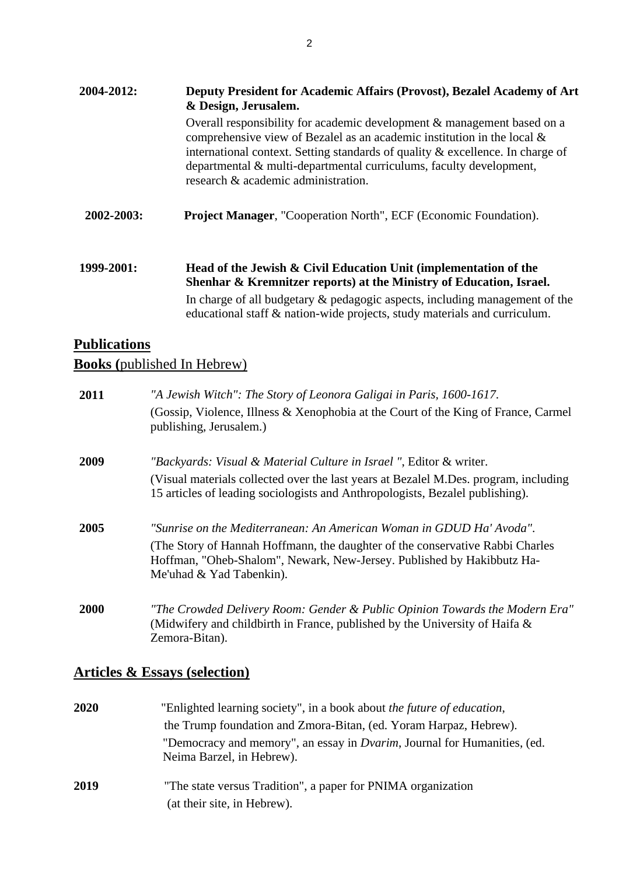| Deputy President for Academic Affairs (Provost), Bezalel Academy of Art<br>& Design, Jerusalem.                                                                                                                                                                                                                                                       |  |  |
|-------------------------------------------------------------------------------------------------------------------------------------------------------------------------------------------------------------------------------------------------------------------------------------------------------------------------------------------------------|--|--|
| Overall responsibility for academic development & management based on a<br>comprehensive view of Bezalel as an academic institution in the local $\&$<br>international context. Setting standards of quality & excellence. In charge of<br>departmental & multi-departmental curriculums, faculty development,<br>research & academic administration. |  |  |
| <b>Project Manager, "Cooperation North", ECF (Economic Foundation).</b>                                                                                                                                                                                                                                                                               |  |  |
| Head of the Jewish & Civil Education Unit (implementation of the<br>Shenhar & Kremnitzer reports) at the Ministry of Education, Israel.<br>In charge of all budgetary & pedagogic aspects, including management of the                                                                                                                                |  |  |
|                                                                                                                                                                                                                                                                                                                                                       |  |  |

educational staff & nation-wide projects, study materials and curriculum.

## **Publications Books (**published In Hebrew)

| 2011 | "A Jewish Witch": The Story of Leonora Galigai in Paris, 1600-1617.                                                                                                                                                                                         |
|------|-------------------------------------------------------------------------------------------------------------------------------------------------------------------------------------------------------------------------------------------------------------|
|      | (Gossip, Violence, Illness & Xenophobia at the Court of the King of France, Carmel<br>publishing, Jerusalem.)                                                                                                                                               |
| 2009 | "Backyards: Visual & Material Culture in Israel ", Editor & writer.                                                                                                                                                                                         |
|      | (Visual materials collected over the last years at Bezalel M.Des. program, including<br>15 articles of leading sociologists and Anthropologists, Bezalel publishing).                                                                                       |
| 2005 | "Sunrise on the Mediterranean: An American Woman in GDUD Ha' Avoda".<br>(The Story of Hannah Hoffmann, the daughter of the conservative Rabbi Charles<br>Hoffman, "Oheb-Shalom", Newark, New-Jersey. Published by Hakibbutz Ha-<br>Me'uhad & Yad Tabenkin). |
| 2000 | "The Crowded Delivery Room: Gender & Public Opinion Towards the Modern Era"<br>(Midwifery and childbirth in France, published by the University of Haifa $\&$<br>Zemora-Bitan).                                                                             |

# **Articles & Essays (selection)**

| 2020 | "Enlighted learning society", in a book about the future of education,                                        |
|------|---------------------------------------------------------------------------------------------------------------|
|      | the Trump foundation and Zmora-Bitan, (ed. Yoram Harpaz, Hebrew).                                             |
|      | "Democracy and memory", an essay in <i>Dvarim</i> , Journal for Humanities, (ed.<br>Neima Barzel, in Hebrew). |
| 2019 | "The state versus Tradition", a paper for PNIMA organization<br>(at their site, in Hebrew).                   |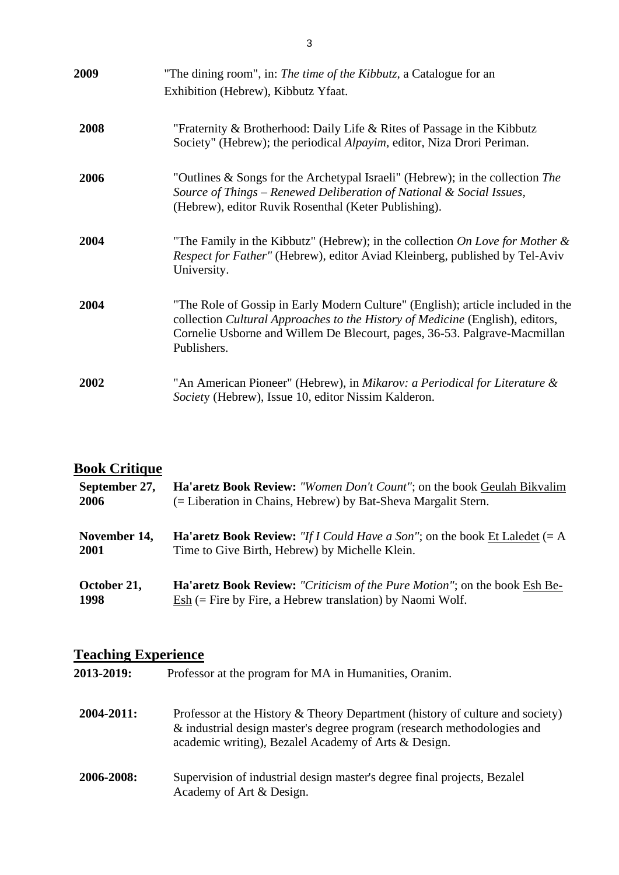| 2009 | "The dining room", in: The time of the Kibbutz, a Catalogue for an<br>Exhibition (Hebrew), Kibbutz Yfaat.                                                                                                                                                    |
|------|--------------------------------------------------------------------------------------------------------------------------------------------------------------------------------------------------------------------------------------------------------------|
| 2008 | "Fraternity & Brotherhood: Daily Life & Rites of Passage in the Kibbutz<br>Society" (Hebrew); the periodical <i>Alpayim</i> , editor, Niza Drori Periman.                                                                                                    |
| 2006 | "Outlines & Songs for the Archetypal Israeli" (Hebrew); in the collection The<br>Source of Things – Renewed Deliberation of National & Social Issues,<br>(Hebrew), editor Ruvik Rosenthal (Keter Publishing).                                                |
| 2004 | "The Family in the Kibbutz" (Hebrew); in the collection On Love for Mother $\&$<br>Respect for Father" (Hebrew), editor Aviad Kleinberg, published by Tel-Aviv<br>University.                                                                                |
| 2004 | "The Role of Gossip in Early Modern Culture" (English); article included in the<br>collection Cultural Approaches to the History of Medicine (English), editors,<br>Cornelie Usborne and Willem De Blecourt, pages, 36-53. Palgrave-Macmillan<br>Publishers. |
| 2002 | "An American Pioneer" (Hebrew), in <i>Mikarov: a Periodical for Literature &amp;</i><br>Society (Hebrew), Issue 10, editor Nissim Kalderon.                                                                                                                  |

#### **Book Critique**

| September 27, | <b>Ha'aretz Book Review:</b> "Women Don't Count"; on the book Geulah Bikvalim     |
|---------------|-----------------------------------------------------------------------------------|
| 2006          | (= Liberation in Chains, Hebrew) by Bat-Sheva Margalit Stern.                     |
| November 14,  | <b>Ha'aretz Book Review:</b> "If I Could Have a Son"; on the book Et Laledet (= A |
| 2001          | Time to Give Birth, Hebrew) by Michelle Klein.                                    |
| October 21,   | <b>Ha'aretz Book Review:</b> "Criticism of the Pure Motion"; on the book Esh Be-  |
| 1998          | $\text{Esh}$ (= Fire by Fire, a Hebrew translation) by Naomi Wolf.                |

#### **Teaching Experience**

**2013-2019:** Professor at the program for MA in Humanities, Oranim.

- **2004-2011:** Professor at the History & Theory Department (history of culture and society) & industrial design master's degree program (research methodologies and academic writing), Bezalel Academy of Arts & Design.
- **2006-2008:** Supervision of industrial design master's degree final projects, Bezalel Academy of Art & Design.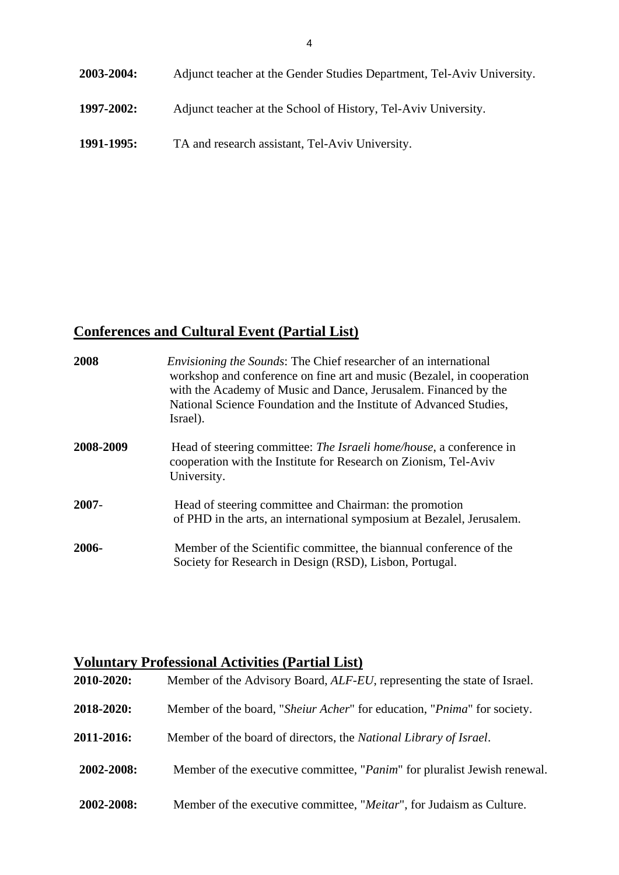**2003-2004:** Adjunct teacher at the Gender Studies Department, Tel-Aviv University. **1997-2002:** Adjunct teacher at the School of History, Tel-Aviv University. **1991-1995:** TA and research assistant, Tel-Aviv University.

# **Conferences and Cultural Event (Partial List)**

| 2008      | <i>Envisioning the Sounds:</i> The Chief researcher of an international<br>workshop and conference on fine art and music (Bezalel, in cooperation<br>with the Academy of Music and Dance, Jerusalem. Financed by the<br>National Science Foundation and the Institute of Advanced Studies,<br>Israel). |
|-----------|--------------------------------------------------------------------------------------------------------------------------------------------------------------------------------------------------------------------------------------------------------------------------------------------------------|
| 2008-2009 | Head of steering committee: <i>The Israeli home/house</i> , a conference in<br>cooperation with the Institute for Research on Zionism, Tel-Aviv<br>University.                                                                                                                                         |
| $2007 -$  | Head of steering committee and Chairman: the promotion<br>of PHD in the arts, an international symposium at Bezalel, Jerusalem.                                                                                                                                                                        |
| 2006-     | Member of the Scientific committee, the biannual conference of the<br>Society for Research in Design (RSD), Lisbon, Portugal.                                                                                                                                                                          |

## **Voluntary Professional Activities (Partial List)**

| 2010-2020: | Member of the Advisory Board, <i>ALF-EU</i> , representing the state of Israel.   |
|------------|-----------------------------------------------------------------------------------|
| 2018-2020: | Member of the board, "Sheiur Acher" for education, "Pnima" for society.           |
| 2011-2016: | Member of the board of directors, the National Library of Israel.                 |
| 2002-2008: | Member of the executive committee, " <i>Panim</i> " for pluralist Jewish renewal. |
| 2002-2008: | Member of the executive committee, "Meitar", for Judaism as Culture.              |